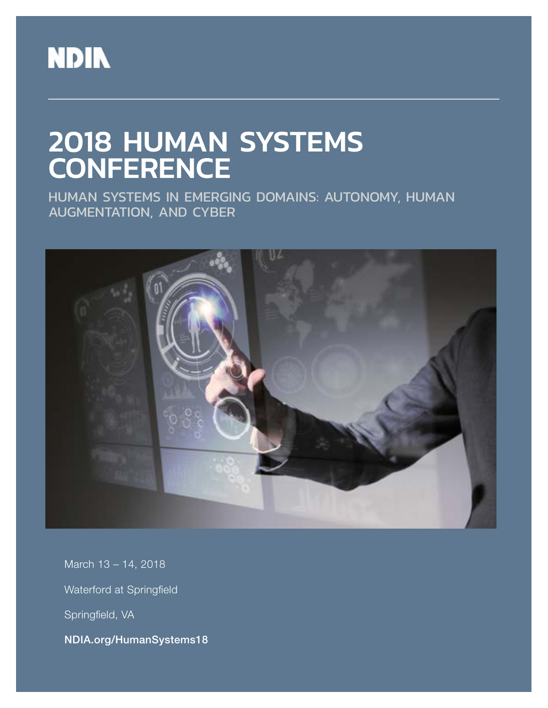

# 2018 HUMAN SYSTEMS **CONFERENCE**

HUMAN SYSTEMS IN EMERGING DOMAINS: AUTONOMY, HUMAN AUGMENTATION, AND CYBER



March 13 – 14, 2018 Waterford at Springfield Springfield, VA NDIA.org/HumanSystems18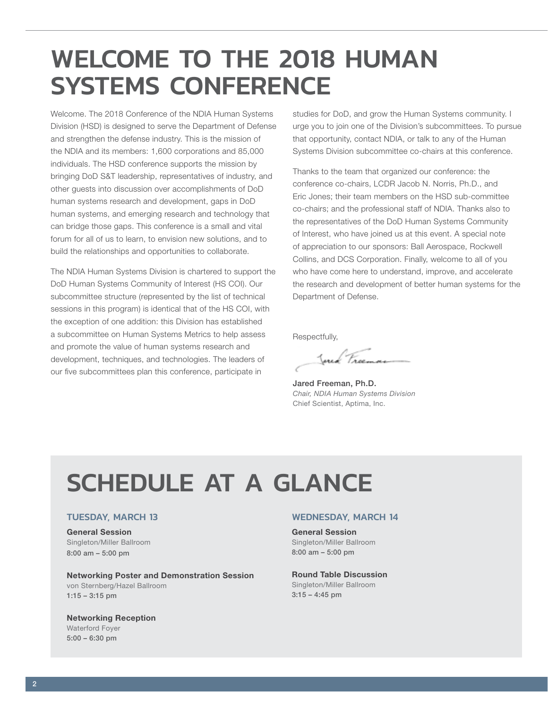# <span id="page-1-0"></span>WELCOME TO THE 2018 HUMAN SYSTEMS CONFERENCE

Welcome. The 2018 Conference of the NDIA Human Systems Division (HSD) is designed to serve the Department of Defense and strengthen the defense industry. This is the mission of the NDIA and its members: 1,600 corporations and 85,000 individuals. The HSD conference supports the mission by bringing DoD S&T leadership, representatives of industry, and other guests into discussion over accomplishments of DoD human systems research and development, gaps in DoD human systems, and emerging research and technology that can bridge those gaps. This conference is a small and vital forum for all of us to learn, to envision new solutions, and to build the relationships and opportunities to collaborate.

The NDIA Human Systems Division is chartered to support the DoD Human Systems Community of Interest (HS COI). Our subcommittee structure (represented by the list of technical sessions in this program) is identical that of the HS COI, with the exception of one addition: this Division has established a subcommittee on Human Systems Metrics to help assess and promote the value of human systems research and development, techniques, and technologies. The leaders of our five subcommittees plan this conference, participate in

studies for DoD, and grow the Human Systems community. I urge you to join one of the Division's subcommittees. To pursue that opportunity, contact NDIA, or talk to any of the Human Systems Division subcommittee co-chairs at this conference.

Thanks to the team that organized our conference: the conference co-chairs, LCDR Jacob N. Norris, Ph.D., and Eric Jones; their team members on the HSD sub-committee co-chairs; and the professional staff of NDIA. Thanks also to the representatives of the DoD Human Systems Community of Interest, who have joined us at this event. A special note of appreciation to our sponsors: Ball Aerospace, Rockwell Collins, and DCS Corporation. Finally, welcome to all of you who have come here to understand, improve, and accelerate the research and development of better human systems for the Department of Defense.

Respectfully,

Just France

Jared Freeman, Ph.D. *Chair, NDIA Human Systems Division* Chief Scientist, Aptima, Inc.

# SCHEDULE AT A GLANCE

#### TUESDAY, MARCH 13

### General Session

Singleton/Miller Ballroom 8:00 am – 5:00 pm

Networking Poster and Demonstration Session von Sternberg/Hazel Ballroom 1:15 – 3:15 pm

#### Networking Reception

Waterford Foyer 5:00 – 6:30 pm

#### WEDNESDAY, MARCH 14

General Session Singleton/Miller Ballroom 8:00 am – 5:00 pm

Round Table Discussion Singleton/Miller Ballroom  $3:15 - 4:45$  pm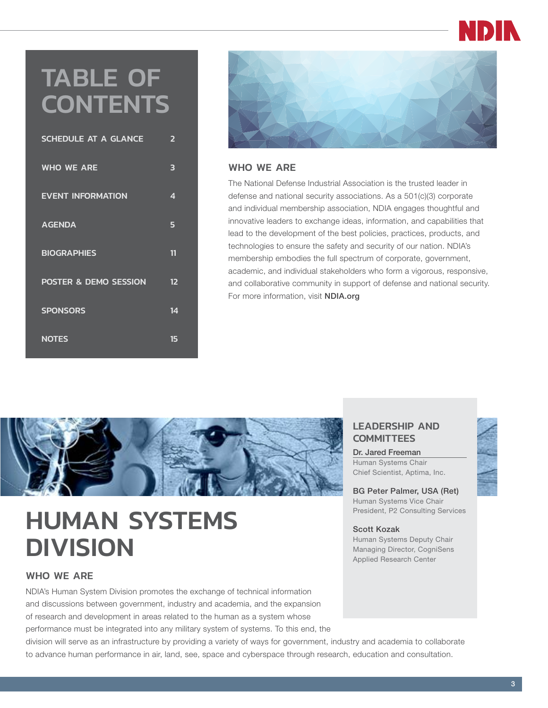# TABLE OF **CONTENTS**

| SCHEDULE AT A GLANCE     | $\overline{2}$ |
|--------------------------|----------------|
| <b>WHO WE ARE</b>        | 3              |
| <b>EVENT INFORMATION</b> | 4              |
| <b>AGENDA</b>            | 5              |
| <b>BIOGRAPHIES</b>       | 11             |
| POSTER & DEMO SESSION    | 12             |
| <b>SPONSORS</b>          | 14             |
| <b>NOTES</b>             | 15             |



#### WHO WE ARE

The National Defense Industrial Association is the trusted leader in defense and national security associations. As a 501(c)(3) corporate and individual membership association, NDIA engages thoughtful and innovative leaders to exchange ideas, information, and capabilities that lead to the development of the best policies, practices, products, and technologies to ensure the safety and security of our nation. NDIA's membership embodies the full spectrum of corporate, government, academic, and individual stakeholders who form a vigorous, responsive, and collaborative community in support of defense and national security. For more information, visit **NDIA.org** 



# HUMAN SYSTEMS **DIVISION**

#### WHO WE ARE

NDIA's Human System Division promotes the exchange of technical information and discussions between government, industry and academia, and the expansion of research and development in areas related to the human as a system whose performance must be integrated into any military system of systems. To this end, the

#### LEADERSHIP AND **COMMITTEES**

Dr. Jared Freeman Human Systems Chair Chief Scientist, Aptima, Inc.

BG Peter Palmer, USA (Ret) Human Systems Vice Chair President, P2 Consulting Services

#### Scott Kozak

Human Systems Deputy Chair Managing Director, CogniSens Applied Research Center



division will serve as an infrastructure by providing a variety of ways for government, industry and academia to collaborate to advance human performance in air, land, see, space and cyberspace through research, education and consultation.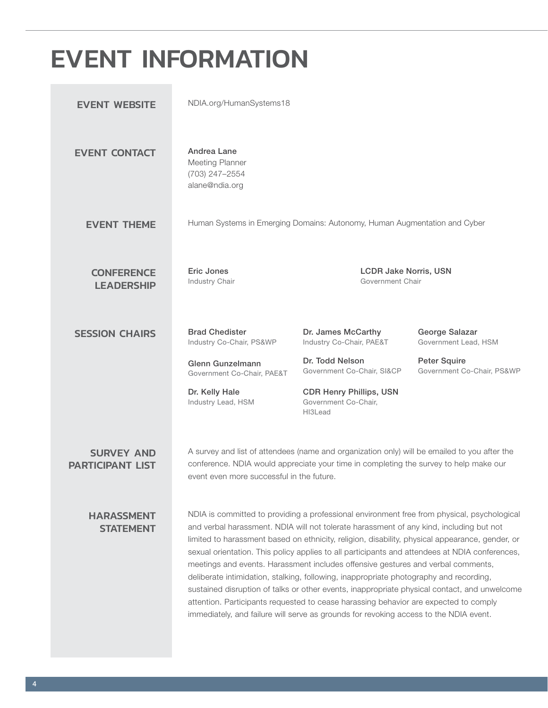# <span id="page-3-0"></span>EVENT INFORMATION

| <b>EVENT WEBSITE</b>                         | NDIA.org/HumanSystems18                                                                                                                                                                                                                                                                                                                                                                                                                                                                                                                                                                                                                                                                                                                                                                                                                                    |                                                                           |                                                   |
|----------------------------------------------|------------------------------------------------------------------------------------------------------------------------------------------------------------------------------------------------------------------------------------------------------------------------------------------------------------------------------------------------------------------------------------------------------------------------------------------------------------------------------------------------------------------------------------------------------------------------------------------------------------------------------------------------------------------------------------------------------------------------------------------------------------------------------------------------------------------------------------------------------------|---------------------------------------------------------------------------|---------------------------------------------------|
| <b>EVENT CONTACT</b>                         | Andrea Lane<br>Meeting Planner<br>(703) 247-2554<br>alane@ndia.org                                                                                                                                                                                                                                                                                                                                                                                                                                                                                                                                                                                                                                                                                                                                                                                         |                                                                           |                                                   |
| <b>EVENT THEME</b>                           |                                                                                                                                                                                                                                                                                                                                                                                                                                                                                                                                                                                                                                                                                                                                                                                                                                                            | Human Systems in Emerging Domains: Autonomy, Human Augmentation and Cyber |                                                   |
| <b>CONFERENCE</b><br><b>LEADERSHIP</b>       | <b>Eric Jones</b><br>Industry Chair                                                                                                                                                                                                                                                                                                                                                                                                                                                                                                                                                                                                                                                                                                                                                                                                                        | <b>LCDR Jake Norris, USN</b><br>Government Chair                          |                                                   |
| <b>SESSION CHAIRS</b>                        | <b>Brad Chedister</b><br>Industry Co-Chair, PS&WP                                                                                                                                                                                                                                                                                                                                                                                                                                                                                                                                                                                                                                                                                                                                                                                                          | Dr. James McCarthy<br>Industry Co-Chair, PAE&T                            | George Salazar<br>Government Lead, HSM            |
|                                              | Glenn Gunzelmann<br>Government Co-Chair, PAE&T                                                                                                                                                                                                                                                                                                                                                                                                                                                                                                                                                                                                                                                                                                                                                                                                             | Dr. Todd Nelson<br>Government Co-Chair, SI&CP                             | <b>Peter Squire</b><br>Government Co-Chair, PS&WP |
|                                              | Dr. Kelly Hale<br>Industry Lead, HSM                                                                                                                                                                                                                                                                                                                                                                                                                                                                                                                                                                                                                                                                                                                                                                                                                       | <b>CDR Henry Phillips, USN</b><br>Government Co-Chair,<br>HI3Lead         |                                                   |
| <b>SURVEY AND</b><br><b>PARTICIPANT LIST</b> | A survey and list of attendees (name and organization only) will be emailed to you after the<br>conference. NDIA would appreciate your time in completing the survey to help make our<br>event even more successful in the future.                                                                                                                                                                                                                                                                                                                                                                                                                                                                                                                                                                                                                         |                                                                           |                                                   |
| <b>HARASSMENT</b><br><b>STATEMENT</b>        | NDIA is committed to providing a professional environment free from physical, psychological<br>and verbal harassment. NDIA will not tolerate harassment of any kind, including but not<br>limited to harassment based on ethnicity, religion, disability, physical appearance, gender, or<br>sexual orientation. This policy applies to all participants and attendees at NDIA conferences,<br>meetings and events. Harassment includes offensive gestures and verbal comments,<br>deliberate intimidation, stalking, following, inappropriate photography and recording,<br>sustained disruption of talks or other events, inappropriate physical contact, and unwelcome<br>attention. Participants requested to cease harassing behavior are expected to comply<br>immediately, and failure will serve as grounds for revoking access to the NDIA event. |                                                                           |                                                   |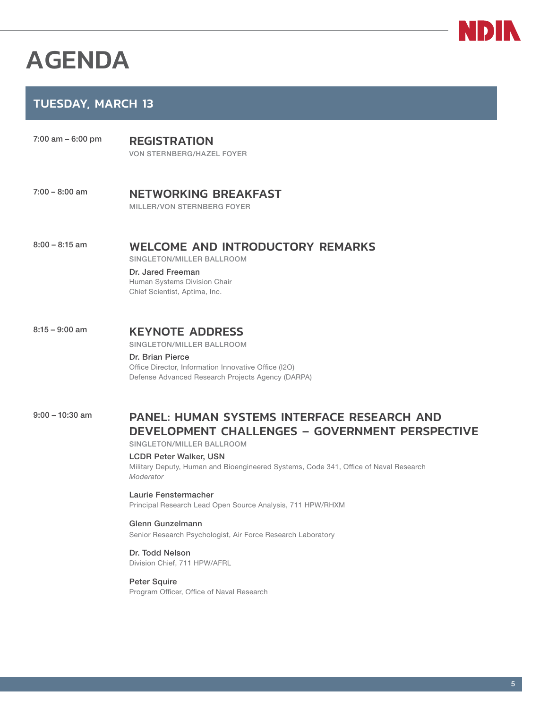# <span id="page-4-0"></span>AGENDA

### TUESDAY, MARCH 13

- 7:00 am 6:00 pm<br>
REGISTRATION VON STERNBERG/HAZEL FOYER
- 7:00 8:00 am **NETWORKING BREAKFAST** MILLER/VON STERNBERG FOYER

### 8:00 - 8:15 am WELCOME AND INTRODUCTORY REMARKS

SINGLETON/MILLER BALLROOM

Dr. Jared Freeman Human Systems Division Chair Chief Scientist, Aptima, Inc.

### 8:15 - 9:00 am **KEYNOTE ADDRESS**

SINGLETON/MILLER BALLROOM

#### Dr. Brian Pierce

Office Director, Information Innovative Office (I2O) Defense Advanced Research Projects Agency (DARPA)

9:00 - 10:30 am **PANEL: HUMAN SYSTEMS INTERFACE RESEARCH AND** DEVELOPMENT CHALLENGES – GOVERNMENT PERSPECTIVE

SINGLETON/MILLER BALLROOM

#### LCDR Peter Walker, USN

Military Deputy, Human and Bioengineered Systems, Code 341, Office of Naval Research *Moderator*

Laurie Fenstermacher Principal Research Lead Open Source Analysis, 711 HPW/RHXM

#### Glenn Gunzelmann

Senior Research Psychologist, Air Force Research Laboratory

Dr. Todd Nelson Division Chief, 711 HPW/AFRL

Peter Squire Program Officer, Office of Naval Research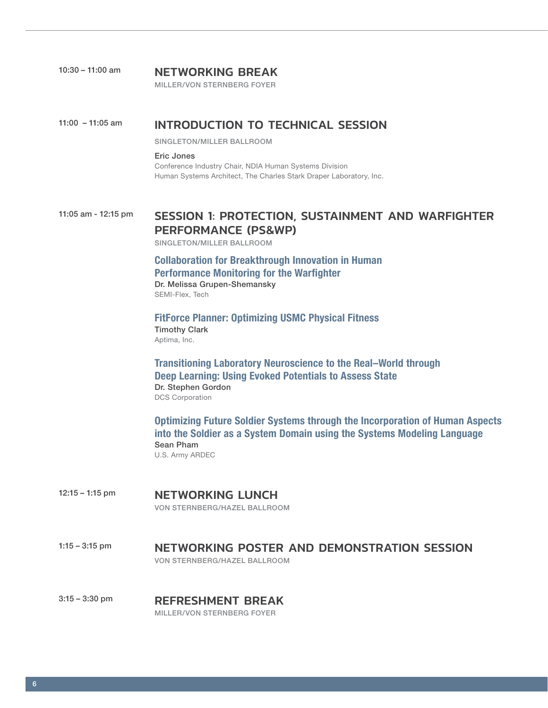| $10:30 - 11:00$ am | <b>NETWORKING BREAK</b> |  |
|--------------------|-------------------------|--|
|                    |                         |  |

MILLER/VON STERNBERG FOYER

#### 11:00 – 11:05 am INTRODUCTION TO TECHNICAL SESSION

SINGLETON/MILLER BALLROOM

Eric Jones

Conference Industry Chair, NDIA Human Systems Division Human Systems Architect, The Charles Stark Draper Laboratory, Inc.

### 11:05 am - 12:15 pm SESSION 1: PROTECTION, SUSTAINMENT AND WARFIGHTER PERFORMANCE (PS&WP)

SINGLETON/MILLER BALLROOM

Collaboration for Breakthrough Innovation in Human Performance Monitoring for the Warfighter Dr. Melissa Grupen-Shemansky

SEMI-Flex, Tech

FitForce Planner: Optimizing USMC Physical Fitness Timothy Clark Aptima, Inc.

Transitioning Laboratory Neuroscience to the Real–World through Deep Learning: Using Evoked Potentials to Assess State Dr. Stephen Gordon DCS Corporation

Optimizing Future Soldier Systems through the Incorporation of Human Aspects into the Soldier as a System Domain using the Systems Modeling Language Sean Pham U.S. Army ARDEC

- 12:15 1:15 pm **NETWORKING LUNCH** VON STERNBERG/HAZEL BALLROOM
- 1:15 3:15 pm **NETWORKING POSTER AND DEMONSTRATION SESSION** VON STERNBERG/HAZEL BALLROOM

3:15 - 3:30 pm REFRESHMENT BREAK MILLER/VON STERNBERG FOYER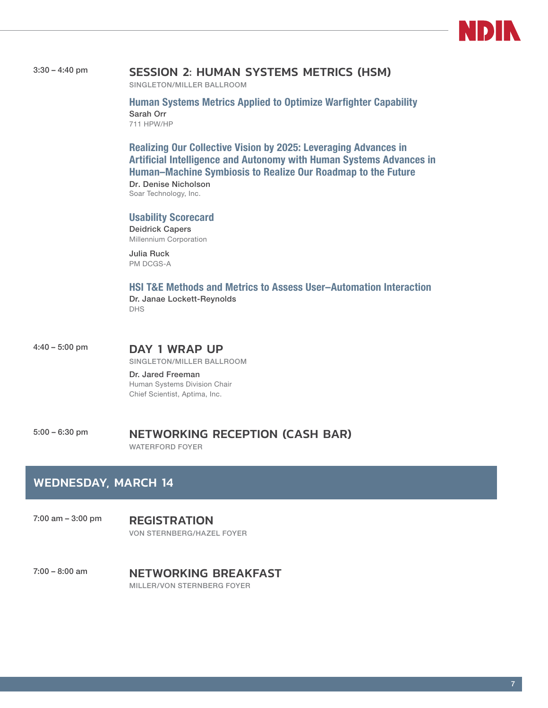

#### 3:30 – 4:40 pm SESSION 2: HUMAN SYSTEMS METRICS (HSM)

SINGLETON/MILLER BALLROOM

Human Systems Metrics Applied to Optimize Warfighter Capability Sarah Orr 711 HPW/HP

Realizing Our Collective Vision by 2025: Leveraging Advances in Artificial Intelligence and Autonomy with Human Systems Advances in Human–Machine Symbiosis to Realize Our Roadmap to the Future

Dr. Denise Nicholson Soar Technology, Inc.

#### Usability Scorecard

Deidrick Capers Millennium Corporation

Julia Ruck PM DCGS-A

#### HSI T&E Methods and Metrics to Assess User–Automation Interaction Dr. Janae Lockett-Reynolds

DHS

4:40 – 5:00 pm **DAY 1 WRAP UP** 

SINGLETON/MILLER BALLROOM

Dr. Jared Freeman Human Systems Division Chair Chief Scientist, Aptima, Inc.

5:00 – 6:30 pm NETWORKING RECEPTION (CASH BAR) WATERFORD FOYER

### WEDNESDAY, MARCH 14

7:00 am – 3:00 pm REGISTRATION VON STERNBERG/HAZEL FOYER

7:00 - 8:00 am **NETWORKING BREAKFAST** MILLER/VON STERNBERG FOYER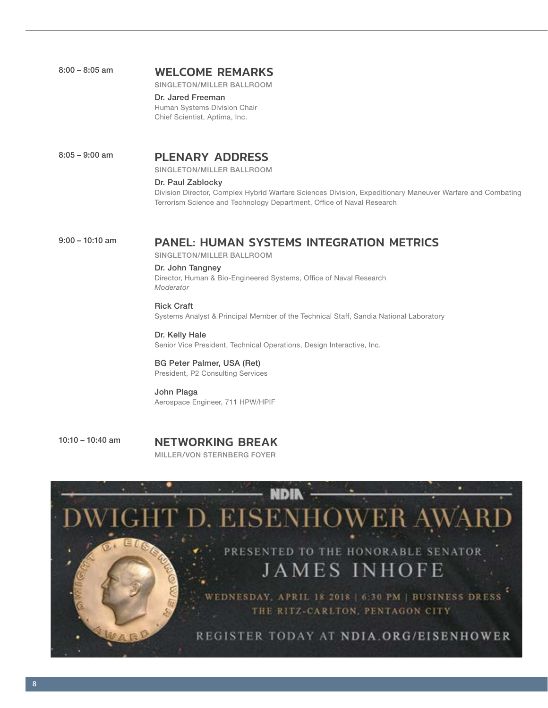| 8:00 – 8:05 am | <b>WELCOME REMARKS</b> |  |
|----------------|------------------------|--|
|                |                        |  |

SINGLETON/MILLER BALLROOM

Dr. Jared Freeman Human Systems Division Chair Chief Scientist, Aptima, Inc.

#### 8:05 – 9:00 am **PLENARY ADDRESS**

SINGLETON/MILLER BALLROOM

#### Dr. Paul Zablocky

Division Director, Complex Hybrid Warfare Sciences Division, Expeditionary Maneuver Warfare and Combating Terrorism Science and Technology Department, Office of Naval Research

### 9:00 - 10:10 am **PANEL: HUMAN SYSTEMS INTEGRATION METRICS**

SINGLETON/MILLER BALLROOM

#### Dr. John Tangney

Director, Human & Bio-Engineered Systems, Office of Naval Research *Moderator*

#### Rick Craft

Systems Analyst & Principal Member of the Technical Staff, Sandia National Laboratory

#### Dr. Kelly Hale

Senior Vice President, Technical Operations, Design Interactive, Inc.

#### BG Peter Palmer, USA (Ret)

President, P2 Consulting Services

#### John Plaga Aerospace Engineer, 711 HPW/HPIF

10:10 - 10:40 am **NETWORKING BREAK** MILLER/VON STERNBERG FOYER

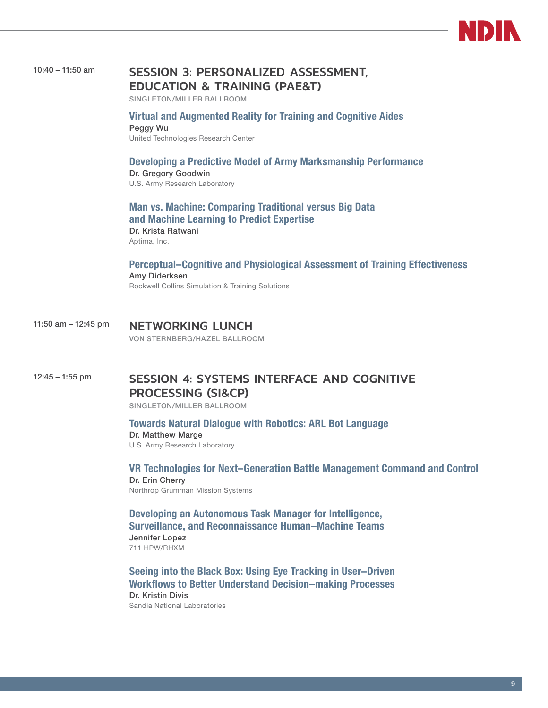

### 10:40 – 11:50 am SESSION 3: PERSONALIZED ASSESSMENT, EDUCATION & TRAINING (PAE&T)

SINGLETON/MILLER BALLROOM

#### Virtual and Augmented Reality for Training and Cognitive Aides Peggy Wu

United Technologies Research Center

#### Developing a Predictive Model of Army Marksmanship Performance Dr. Gregory Goodwin

U.S. Army Research Laboratory

Man vs. Machine: Comparing Traditional versus Big Data and Machine Learning to Predict Expertise Dr. Krista Ratwani Aptima, Inc.

#### Perceptual–Cognitive and Physiological Assessment of Training Effectiveness Amy Diderksen

Rockwell Collins Simulation & Training Solutions

#### 11:50 am - 12:45 pm NETWORKING LUNCH VON STERNBERG/HAZEL BALLROOM

### 12:45 – 1:55 pm SESSION 4: SYSTEMS INTERFACE AND COGNITIVE PROCESSING (SI&CP)

SINGLETON/MILLER BALLROOM

Towards Natural Dialogue with Robotics: ARL Bot Language Dr. Matthew Marge

U.S. Army Research Laboratory

VR Technologies for Next–Generation Battle Management Command and Control Dr. Erin Cherry Northrop Grumman Mission Systems

Developing an Autonomous Task Manager for Intelligence, Surveillance, and Reconnaissance Human–Machine Teams Jennifer Lopez 711 HPW/RHXM

Seeing into the Black Box: Using Eye Tracking in User–Driven Workflows to Better Understand Decision–making Processes Dr. Kristin Divis Sandia National Laboratories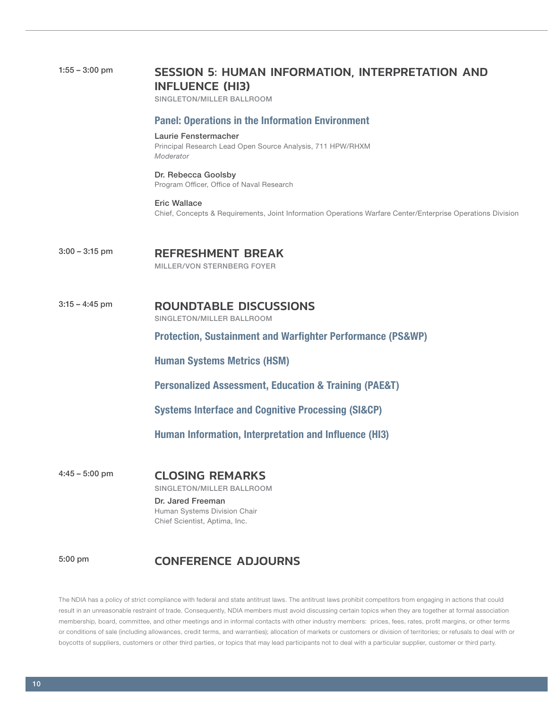| $1:55 - 3:00$ pm | <b>SESSION 5: HUMAN INFORMATION, INTERPRETATION AND</b><br><b>INFLUENCE (HI3)</b><br>SINGLETON/MILLER BALLROOM                            |
|------------------|-------------------------------------------------------------------------------------------------------------------------------------------|
|                  | <b>Panel: Operations in the Information Environment</b>                                                                                   |
|                  | Laurie Fenstermacher<br>Principal Research Lead Open Source Analysis, 711 HPW/RHXM<br>Moderator                                           |
|                  | Dr. Rebecca Goolsby<br>Program Officer, Office of Naval Research                                                                          |
|                  | <b>Eric Wallace</b><br>Chief, Concepts & Requirements, Joint Information Operations Warfare Center/Enterprise Operations Division         |
| $3:00 - 3:15$ pm | <b>REFRESHMENT BREAK</b><br>MILLER/VON STERNBERG FOYER                                                                                    |
| $3:15 - 4:45$ pm | <b>ROUNDTABLE DISCUSSIONS</b><br>SINGLETON/MILLER BALLROOM                                                                                |
|                  | <b>Protection, Sustainment and Warfighter Performance (PS&amp;WP)</b>                                                                     |
|                  | <b>Human Systems Metrics (HSM)</b>                                                                                                        |
|                  | <b>Personalized Assessment, Education &amp; Training (PAE&amp;T)</b>                                                                      |
|                  | <b>Systems Interface and Cognitive Processing (SI&amp;CP)</b>                                                                             |
|                  | Human Information, Interpretation and Influence (HI3)                                                                                     |
| $4:45 - 5:00$ pm | <b>CLOSING REMARKS</b><br>SINGLETON/MILLER BALLROOM<br>Dr. Jared Freeman<br>Human Systems Division Chair<br>Chief Scientist, Aptima, Inc. |
| 5:00 pm          | <b>CONFERENCE ADJOURNS</b>                                                                                                                |

The NDIA has a policy of strict compliance with federal and state antitrust laws. The antitrust laws prohibit competitors from engaging in actions that could result in an unreasonable restraint of trade. Consequently, NDIA members must avoid discussing certain topics when they are together at formal association membership, board, committee, and other meetings and in informal contacts with other industry members: prices, fees, rates, profit margins, or other terms or conditions of sale (including allowances, credit terms, and warranties); allocation of markets or customers or division of territories; or refusals to deal with or boycotts of suppliers, customers or other third parties, or topics that may lead participants not to deal with a particular supplier, customer or third party.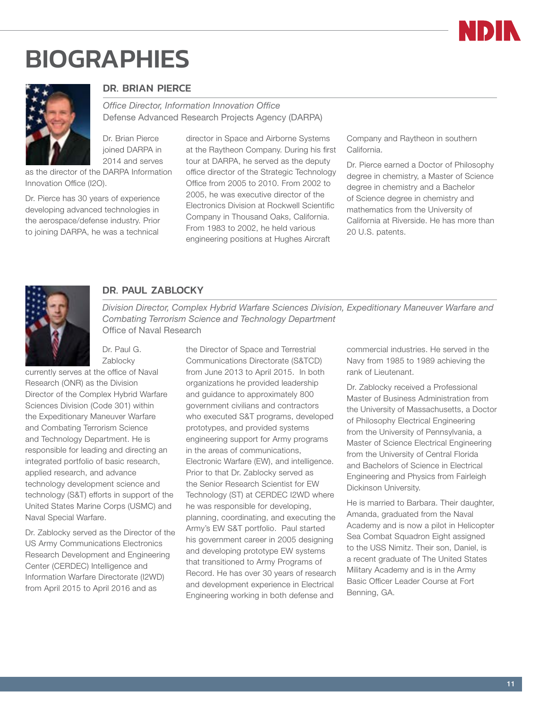

# <span id="page-10-0"></span>**BIOGRAPHIES**



#### DR. BRIAN PIERCE

*Office Director, Information Innovation Office* Defense Advanced Research Projects Agency (DARPA)

Dr. Brian Pierce joined DARPA in 2014 and serves

as the director of the DARPA Information Innovation Office (I2O).

Dr. Pierce has 30 years of experience developing advanced technologies in the aerospace/defense industry. Prior to joining DARPA, he was a technical

director in Space and Airborne Systems at the Raytheon Company. During his first tour at DARPA, he served as the deputy office director of the Strategic Technology Office from 2005 to 2010. From 2002 to 2005, he was executive director of the Electronics Division at Rockwell Scientific Company in Thousand Oaks, California. From 1983 to 2002, he held various engineering positions at Hughes Aircraft

Company and Raytheon in southern California.

Dr. Pierce earned a Doctor of Philosophy degree in chemistry, a Master of Science degree in chemistry and a Bachelor of Science degree in chemistry and mathematics from the University of California at Riverside. He has more than 20 U.S. patents.



#### DR. PAUL ZABLOCKY

*Division Director, Complex Hybrid Warfare Sciences Division, Expeditionary Maneuver Warfare and Combating Terrorism Science and Technology Department* Office of Naval Research

Dr. Paul G. Zablocky

currently serves at the office of Naval Research (ONR) as the Division Director of the Complex Hybrid Warfare Sciences Division (Code 301) within the Expeditionary Maneuver Warfare and Combating Terrorism Science and Technology Department. He is responsible for leading and directing an integrated portfolio of basic research, applied research, and advance technology development science and technology (S&T) efforts in support of the United States Marine Corps (USMC) and Naval Special Warfare.

Dr. Zablocky served as the Director of the US Army Communications Electronics Research Development and Engineering Center (CERDEC) Intelligence and Information Warfare Directorate (I2WD) from April 2015 to April 2016 and as

the Director of Space and Terrestrial Communications Directorate (S&TCD) from June 2013 to April 2015. In both organizations he provided leadership and guidance to approximately 800 government civilians and contractors who executed S&T programs, developed prototypes, and provided systems engineering support for Army programs in the areas of communications, Electronic Warfare (EW), and intelligence. Prior to that Dr. Zablocky served as the Senior Research Scientist for EW Technology (ST) at CERDEC I2WD where he was responsible for developing, planning, coordinating, and executing the Army's EW S&T portfolio. Paul started his government career in 2005 designing and developing prototype EW systems that transitioned to Army Programs of Record. He has over 30 years of research and development experience in Electrical Engineering working in both defense and

commercial industries. He served in the Navy from 1985 to 1989 achieving the rank of Lieutenant.

Dr. Zablocky received a Professional Master of Business Administration from the University of Massachusetts, a Doctor of Philosophy Electrical Engineering from the University of Pennsylvania, a Master of Science Electrical Engineering from the University of Central Florida and Bachelors of Science in Electrical Engineering and Physics from Fairleigh Dickinson University.

He is married to Barbara. Their daughter, Amanda, graduated from the Naval Academy and is now a pilot in Helicopter Sea Combat Squadron Eight assigned to the USS Nimitz. Their son, Daniel, is a recent graduate of The United States Military Academy and is in the Army Basic Officer Leader Course at Fort Benning, GA.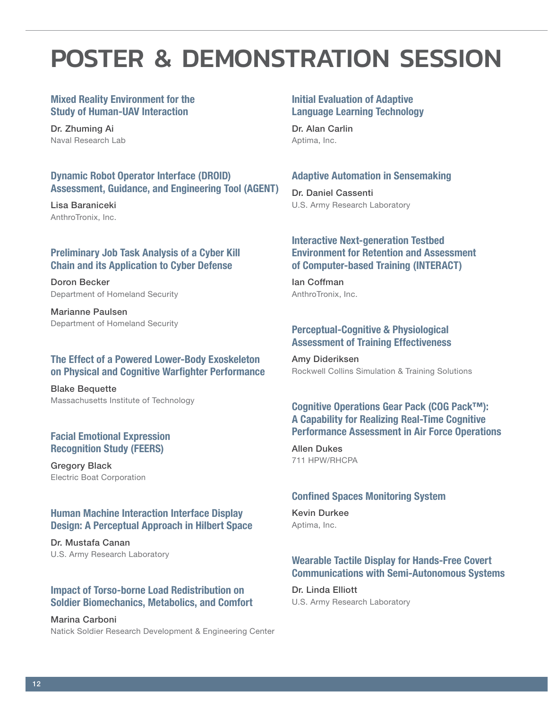# <span id="page-11-0"></span>POSTER & DEMONSTRATION SESSION

#### Mixed Reality Environment for the Study of Human-UAV Interaction

Dr. Zhuming Ai Naval Research Lab

#### Dynamic Robot Operator Interface (DROID) Assessment, Guidance, and Engineering Tool (AGENT)

Lisa Baraniceki AnthroTronix, Inc.

#### Preliminary Job Task Analysis of a Cyber Kill Chain and its Application to Cyber Defense

Doron Becker Department of Homeland Security

Marianne Paulsen Department of Homeland Security

#### The Effect of a Powered Lower-Body Exoskeleton on Physical and Cognitive Warfighter Performance

Blake Bequette Massachusetts Institute of Technology

#### Facial Emotional Expression Recognition Study (FEERS)

Gregory Black Electric Boat Corporation

#### Human Machine Interaction Interface Display Design: A Perceptual Approach in Hilbert Space

Dr. Mustafa Canan U.S. Army Research Laboratory

#### Impact of Torso-borne Load Redistribution on Soldier Biomechanics, Metabolics, and Comfort

Marina Carboni Natick Soldier Research Development & Engineering Center

#### Initial Evaluation of Adaptive Language Learning Technology

Dr. Alan Carlin Aptima, Inc.

#### Adaptive Automation in Sensemaking

Dr. Daniel Cassenti U.S. Army Research Laboratory

#### Interactive Next-generation Testbed Environment for Retention and Assessment of Computer-based Training (INTERACT)

Ian Coffman AnthroTronix, Inc.

#### Perceptual-Cognitive & Physiological Assessment of Training Effectiveness

Amy Dideriksen Rockwell Collins Simulation & Training Solutions

#### Cognitive Operations Gear Pack (COG Pack™): A Capability for Realizing Real-Time Cognitive Performance Assessment in Air Force Operations

Allen Dukes 711 HPW/RHCPA

#### Confined Spaces Monitoring System

Kevin Durkee Aptima, Inc.

#### Wearable Tactile Display for Hands-Free Covert Communications with Semi-Autonomous Systems

Dr. Linda Elliott U.S. Army Research Laboratory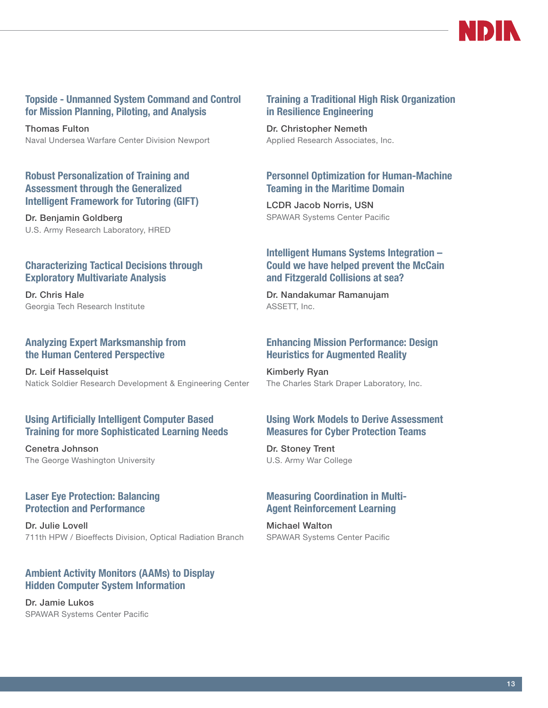

#### Topside - Unmanned System Command and Control for Mission Planning, Piloting, and Analysis

Thomas Fulton Naval Undersea Warfare Center Division Newport

#### Robust Personalization of Training and Assessment through the Generalized Intelligent Framework for Tutoring (GIFT)

Dr. Benjamin Goldberg U.S. Army Research Laboratory, HRED

#### Characterizing Tactical Decisions through Exploratory Multivariate Analysis

Dr. Chris Hale Georgia Tech Research Institute

#### Analyzing Expert Marksmanship from the Human Centered Perspective

Dr. Leif Hasselquist Natick Soldier Research Development & Engineering Center

#### Using Artificially Intelligent Computer Based Training for more Sophisticated Learning Needs

Cenetra Johnson The George Washington University

#### Laser Eye Protection: Balancing Protection and Performance

Dr. Julie Lovell 711th HPW / Bioeffects Division, Optical Radiation Branch

#### Ambient Activity Monitors (AAMs) to Display Hidden Computer System Information

Dr. Jamie Lukos SPAWAR Systems Center Pacific

#### Training a Traditional High Risk Organization in Resilience Engineering

Dr. Christopher Nemeth Applied Research Associates, Inc.

#### Personnel Optimization for Human-Machine Teaming in the Maritime Domain

LCDR Jacob Norris, USN SPAWAR Systems Center Pacific

#### Intelligent Humans Systems Integration – Could we have helped prevent the McCain and Fitzgerald Collisions at sea?

Dr. Nandakumar Ramanujam ASSETT, Inc.

#### Enhancing Mission Performance: Design Heuristics for Augmented Reality

Kimberly Ryan The Charles Stark Draper Laboratory, Inc.

#### Using Work Models to Derive Assessment Measures for Cyber Protection Teams

Dr. Stoney Trent U.S. Army War College

#### Measuring Coordination in Multi-Agent Reinforcement Learning

Michael Walton SPAWAR Systems Center Pacific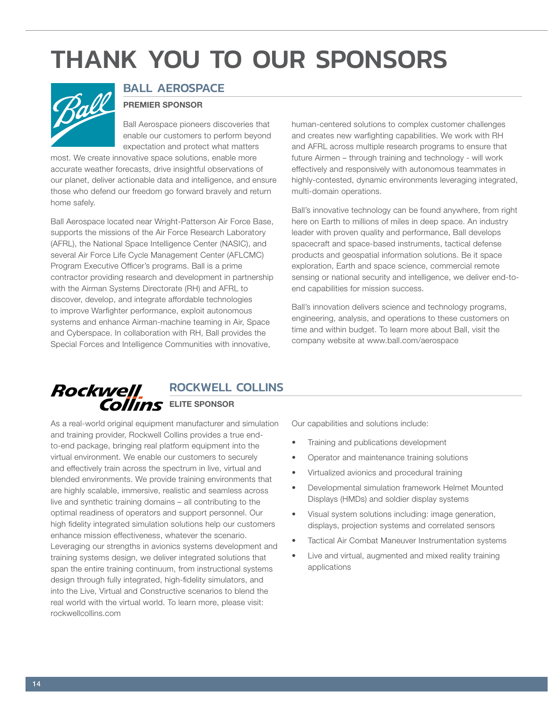# <span id="page-13-0"></span>THANK YOU TO OUR SPONSORS



### BALL AEROSPACE

#### PREMIER SPONSOR

Ball Aerospace pioneers discoveries that enable our customers to perform beyond expectation and protect what matters

most. We create innovative space solutions, enable more accurate weather forecasts, drive insightful observations of our planet, deliver actionable data and intelligence, and ensure those who defend our freedom go forward bravely and return home safely.

Ball Aerospace located near Wright-Patterson Air Force Base, supports the missions of the Air Force Research Laboratory (AFRL), the National Space Intelligence Center (NASIC), and several Air Force Life Cycle Management Center (AFLCMC) Program Executive Officer's programs. Ball is a prime contractor providing research and development in partnership with the Airman Systems Directorate (RH) and AFRL to discover, develop, and integrate affordable technologies to improve Warfighter performance, exploit autonomous systems and enhance Airman-machine teaming in Air, Space and Cyberspace. In collaboration with RH, Ball provides the Special Forces and Intelligence Communities with innovative,

human-centered solutions to complex customer challenges and creates new warfighting capabilities. We work with RH and AFRL across multiple research programs to ensure that future Airmen – through training and technology - will work effectively and responsively with autonomous teammates in highly-contested, dynamic environments leveraging integrated, multi-domain operations.

Ball's innovative technology can be found anywhere, from right here on Earth to millions of miles in deep space. An industry leader with proven quality and performance, Ball develops spacecraft and space-based instruments, tactical defense products and geospatial information solutions. Be it space exploration, Earth and space science, commercial remote sensing or national security and intelligence, we deliver end-toend capabilities for mission success.

Ball's innovation delivers science and technology programs, engineering, analysis, and operations to these customers on time and within budget. To learn more about Ball, visit the company website at www.ball.com/aerospace

#### **Rockwell** ROCKWELL COLLINS Collins ELITE SPONSOR

As a real-world original equipment manufacturer and simulation and training provider, Rockwell Collins provides a true endto-end package, bringing real platform equipment into the virtual environment. We enable our customers to securely and effectively train across the spectrum in live, virtual and blended environments. We provide training environments that are highly scalable, immersive, realistic and seamless across live and synthetic training domains – all contributing to the optimal readiness of operators and support personnel. Our high fidelity integrated simulation solutions help our customers enhance mission effectiveness, whatever the scenario. Leveraging our strengths in avionics systems development and training systems design, we deliver integrated solutions that span the entire training continuum, from instructional systems design through fully integrated, high-fidelity simulators, and into the Live, Virtual and Constructive scenarios to blend the real world with the virtual world. To learn more, please visit: rockwellcollins.com

Our capabilities and solutions include:

- Training and publications development
- Operator and maintenance training solutions
- Virtualized avionics and procedural training
- Developmental simulation framework Helmet Mounted Displays (HMDs) and soldier display systems
- Visual system solutions including: image generation, displays, projection systems and correlated sensors
- Tactical Air Combat Maneuver Instrumentation systems
- Live and virtual, augmented and mixed reality training applications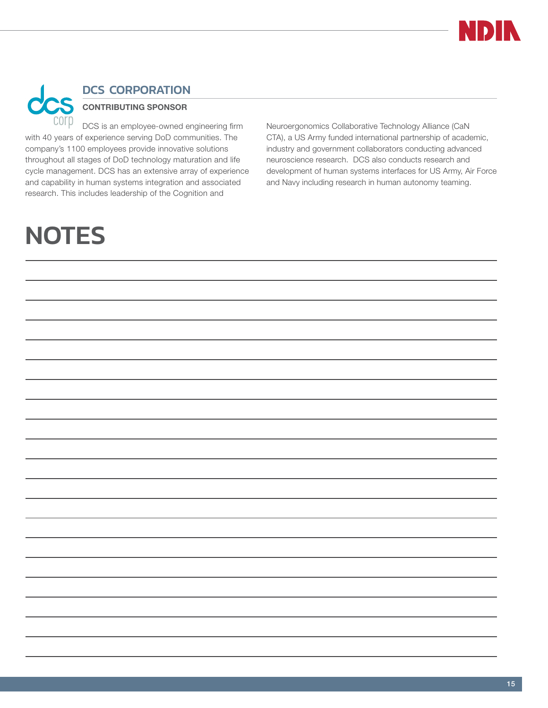

Neuroergonomics Collaborative Technology Alliance (CaN CTA), a US Army funded international partnership of academic, industry and government collaborators conducting advanced neuroscience research. DCS also conducts research and development of human systems interfaces for US Army, Air Force and Navy including research in human autonomy teaming.

## <span id="page-14-0"></span>DCS CORPORATION

### CONTRIBUTING SPONSOR

DCS is an employee-owned engineering firm with 40 years of experience serving DoD communities. The company's 1100 employees provide innovative solutions throughout all stages of DoD technology maturation and life cycle management. DCS has an extensive array of experience and capability in human systems integration and associated research. This includes leadership of the Cognition and

## **NOTES**